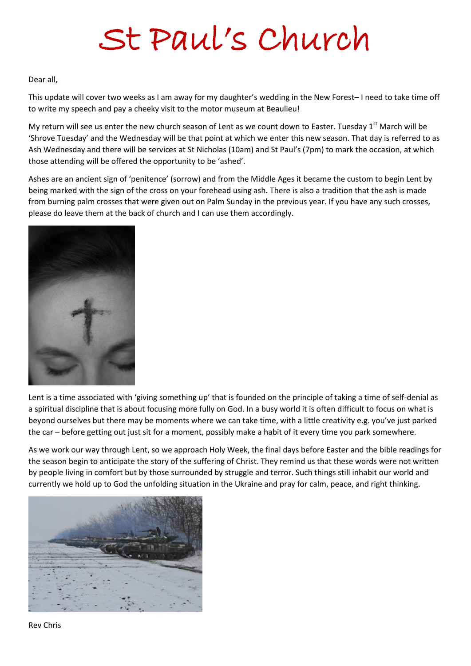# St Paul's Church

#### Dear all,

This update will cover two weeks as I am away for my daughter's wedding in the New Forest– I need to take time off to write my speech and pay a cheeky visit to the motor museum at Beaulieu!

My return will see us enter the new church season of Lent as we count down to Easter. Tuesday  $1<sup>st</sup>$  March will be 'Shrove Tuesday' and the Wednesday will be that point at which we enter this new season. That day is referred to as Ash Wednesday and there will be services at St Nicholas (10am) and St Paul's (7pm) to mark the occasion, at which those attending will be offered the opportunity to be 'ashed'.

Ashes are an ancient sign of 'penitence' (sorrow) and from the Middle Ages it became the custom to begin Lent by being marked with the sign of the cross on your forehead using ash. There is also a tradition that the ash is made from burning palm crosses that were given out on Palm Sunday in the previous year. If you have any such crosses, please do leave them at the back of church and I can use them accordingly.



Lent is a time associated with 'giving something up' that is founded on the principle of taking a time of self-denial as a spiritual discipline that is about focusing more fully on God. In a busy world it is often difficult to focus on what is beyond ourselves but there may be moments where we can take time, with a little creativity e.g. you've just parked the car – before getting out just sit for a moment, possibly make a habit of it every time you park somewhere.

As we work our way through Lent, so we approach Holy Week, the final days before Easter and the bible readings for the season begin to anticipate the story of the suffering of Christ. They remind us that these words were not written by people living in comfort but by those surrounded by struggle and terror. Such things still inhabit our world and currently we hold up to God the unfolding situation in the Ukraine and pray for calm, peace, and right thinking.



Rev Chris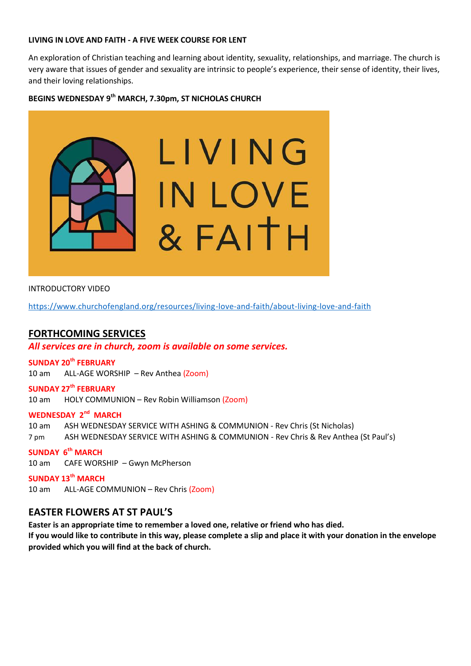#### **LIVING IN LOVE AND FAITH - A FIVE WEEK COURSE FOR LENT**

An exploration of Christian teaching and learning about identity, sexuality, relationships, and marriage. The church is very aware that issues of gender and sexuality are intrinsic to people's experience, their sense of identity, their lives, and their loving relationships.

## **BEGINS WEDNESDAY 9th MARCH, 7.30pm, ST NICHOLAS CHURCH**



#### INTRODUCTORY VIDEO

<https://www.churchofengland.org/resources/living-love-and-faith/about-living-love-and-faith>

## **FORTHCOMING SERVICES**

#### *All services are in church, zoom is available on some services.*

#### **SUNDAY 20th FEBRUARY**

10 am ALL-AGE WORSHIP – Rev Anthea (Zoom)

#### **SUNDAY 27th FEBRUARY** 10 am HOLY COMMUNION – Rev Robin Williamson (Zoom)

#### **WEDNESDAY 2<sup>nd</sup> MARCH**

10 am ASH WEDNESDAY SERVICE WITH ASHING & COMMUNION - Rev Chris (St Nicholas)

7 pm ASH WEDNESDAY SERVICE WITH ASHING & COMMUNION - Rev Chris & Rev Anthea (St Paul's)

#### **SUNDAY 6 th MARCH**

10 am CAFE WORSHIP – Gwyn McPherson

**SUNDAY 13th MARCH** 10 am ALL-AGE COMMUNION – Rev Chris (Zoom)

## **EASTER FLOWERS AT ST PAUL'S**

**Easter is an appropriate time to remember a loved one, relative or friend who has died. If you would like to contribute in this way, please complete a slip and place it with your donation in the envelope provided which you will find at the back of church.**